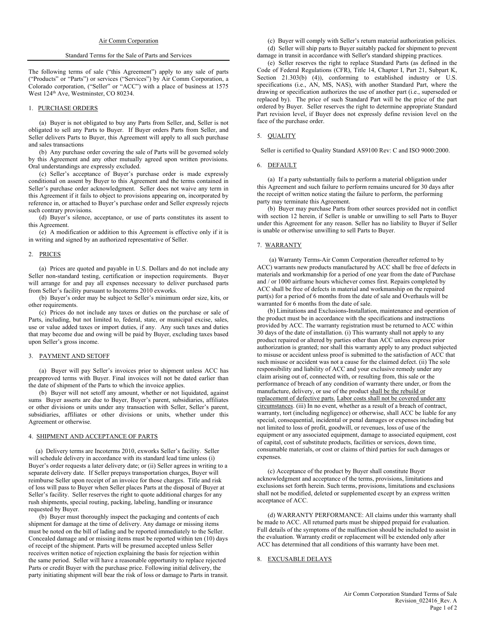#### Standard Terms for the Sale of Parts and Services

The following terms of sale ("this Agreement") apply to any sale of parts ("Products" or "Parts") or services ("Services") by Air Comm Corporation, a Colorado corporation, ("Seller" or "ACC") with a place of business at 1575 West 124<sup>th</sup> Ave, Westminster, CO 80234.

#### 1. PURCHASE ORDERS

(a) Buyer is not obligated to buy any Parts from Seller, and, Seller is not obligated to sell any Parts to Buyer. If Buyer orders Parts from Seller, and Seller delivers Parts to Buyer, this Agreement will apply to all such purchase and sales transactions

(b) Any purchase order covering the sale of Parts will be governed solely by this Agreement and any other mutually agreed upon written provisions. Oral understandings are expressly excluded.

(c) Seller's acceptance of Buyer's purchase order is made expressly conditional on assent by Buyer to this Agreement and the terms contained in Seller's purchase order acknowledgment. Seller does not waive any term in this Agreement if it fails to object to provisions appearing on, incorporated by reference in, or attached to Buyer's purchase order and Seller expressly rejects such contrary provisions.

(d) Buyer's silence, acceptance, or use of parts constitutes its assent to this Agreement.

(e) A modification or addition to this Agreement is effective only if it is in writing and signed by an authorized representative of Seller.

## 2. PRICES

(a) Prices are quoted and payable in U.S. Dollars and do not include any Seller non-standard testing, certification or inspection requirements. Buyer will arrange for and pay all expenses necessary to deliver purchased parts from Seller's facility pursuant to Incoterms 2010 exworks.

(b) Buyer's order may be subject to Seller's minimum order size, kits, or other requirements.

(c) Prices do not include any taxes or duties on the purchase or sale of Parts, including, but not limited to, federal, state, or municipal excise, sales, use or value added taxes or import duties, if any. Any such taxes and duties that may become due and owing will be paid by Buyer, excluding taxes based upon Seller's gross income.

## 3. PAYMENT AND SETOFF

(a) Buyer will pay Seller's invoices prior to shipment unless ACC has preapproved terms with Buyer. Final invoices will not be dated earlier than the date of shipment of the Parts to which the invoice applies.

(b) Buyer will not setoff any amount, whether or not liquidated, against sums Buyer asserts are due to Buyer, Buyer's parent, subsidiaries, affiliates or other divisions or units under any transaction with Seller, Seller's parent, subsidiaries, affiliates or other divisions or units, whether under this Agreement or otherwise.

## 4. SHIPMENT AND ACCEPTANCE OF PARTS

 (a) Delivery terms are Incoterms 2010, exworks Seller's facility. Seller will schedule delivery in accordance with its standard lead time unless (i) Buyer's order requests a later delivery date; or (ii) Seller agrees in writing to a separate delivery date. If Seller prepays transportation charges, Buyer will reimburse Seller upon receipt of an invoice for those charges. Title and risk of loss will pass to Buyer when Seller places Parts at the disposal of Buyer at Seller's facility. Seller reserves the right to quote additional charges for any rush shipments, special routing, packing, labeling, handling or insurance requested by Buyer.

 (b) Buyer must thoroughly inspect the packaging and contents of each shipment for damage at the time of delivery. Any damage or missing items must be noted on the bill of lading and be reported immediately to the Seller. Concealed damage and or missing items must be reported within ten (10) days of receipt of the shipment. Parts will be presumed accepted unless Seller receives written notice of rejection explaining the basis for rejection within the same period. Seller will have a reasonable opportunity to replace rejected Parts or credit Buyer with the purchase price. Following initial delivery, the party initiating shipment will bear the risk of loss or damage to Parts in transit.

(c) Buyer will comply with Seller's return material authorization policies. (d) Seller will ship parts to Buyer suitably packed for shipment to prevent damage in transit in accordance with Seller's standard shipping practices.

(e) Seller reserves the right to replace Standard Parts (as defined in the Code of Federal Regulations (CFR), Title 14, Chapter I, Part 21, Subpart K, Section 21.303(b) (4)), conforming to established industry or U.S. specifications (i.e., AN, MS, NAS), with another Standard Part, where the drawing or specification authorizes the use of another part (i.e., superseded or replaced by). The price of such Standard Part will be the price of the part ordered by Buyer. Seller reserves the right to determine appropriate Standard Part revision level, if Buyer does not expressly define revision level on the face of the purchase order.

# 5. QUALITY

Seller is certified to Quality Standard AS9100 Rev: C and ISO 9000:2000.

#### 6. DEFAULT

(a) If a party substantially fails to perform a material obligation under this Agreement and such failure to perform remains uncured for 30 days after the receipt of written notice stating the failure to perform, the performing party may terminate this Agreement.

(b) Buyer may purchase Parts from other sources provided not in conflict with section 12 herein, if Seller is unable or unwilling to sell Parts to Buyer under this Agreement for any reason. Seller has no liability to Buyer if Seller is unable or otherwise unwilling to sell Parts to Buyer.

#### 7. WARRANTY

 (a) Warranty Terms-Air Comm Corporation (hereafter referred to by ACC) warrants new products manufactured by ACC shall be free of defects in materials and workmanship for a period of one year from the date of Purchase and / or 1000 airframe hours whichever comes first. Repairs completed by ACC shall be free of defects in material and workmanship on the repaired part(s) for a period of 6 months from the date of sale and Overhauls will be warranted for 6 months from the date of sale.

 (b) Limitations and Exclusions-Installation, maintenance and operation of the product must be in accordance with the specifications and instructions provided by ACC. The warranty registration must be returned to ACC within 30 days of the date of installation. (i) This warranty shall not apply to any product repaired or altered by parties other than ACC unless express prior authorization is granted; nor shall this warranty apply to any product subjected to misuse or accident unless proof is submitted to the satisfaction of ACC that such misuse or accident was not a cause for the claimed defect. (ii) The sole responsibility and liability of ACC and your exclusive remedy under any claim arising out of, connected with, or resulting from, this sale or the performance of breach of any condition of warranty there under, or from the manufacture, delivery, or use of the product shall be the rebuild or replacement of defective parts. Labor costs shall not be covered under any circumstances. (iii) In no event, whether as a result of a breach of contract, warranty, tort (including negligence) or otherwise, shall ACC be liable for any special, consequential, incidental or penal damages or expenses including but not limited to loss of profit, goodwill, or revenues, loss of use of the equipment or any associated equipment, damage to associated equipment, cost of capital, cost of substitute products, facilities or services, down time, consumable materials, or cost or claims of third parties for such damages or expenses.

 (c) Acceptance of the product by Buyer shall constitute Buyer acknowledgment and acceptance of the terms, provisions, limitations and exclusions set forth herein. Such terms, provisions, limitations and exclusions shall not be modified, deleted or supplemented except by an express written acceptance of ACC.

 (d) WARRANTY PERFORMANCE: All claims under this warranty shall be made to ACC. All returned parts must be shipped prepaid for evaluation. Full details of the symptoms of the malfunction should be included to assist in the evaluation. Warranty credit or replacement will be extended only after ACC has determined that all conditions of this warranty have been met.

## 8. EXCUSABLE DELAYS